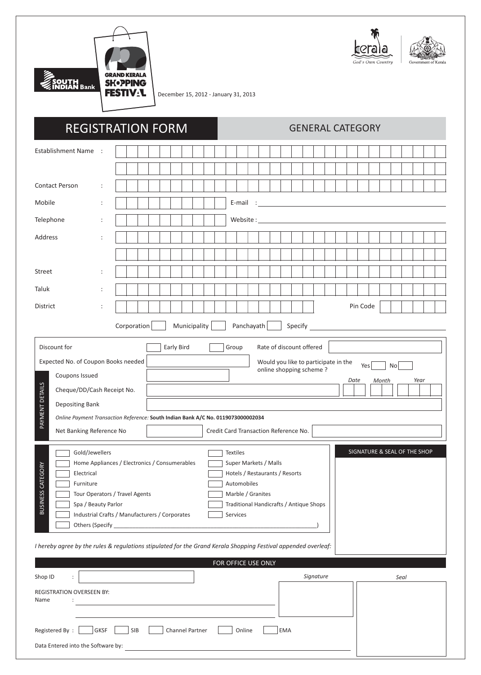

December 15, 2012 - January 31, 2013

| <b>REGISTRATION FORM</b>                                                                                                                                                                                                                                                                                                                                                                                                                                                                                                                                                                                                                                                                                                                                                                                                                                                                                                                                                                                                     |                      |                                                                                                                                                                                                                                |  |  |  |  |  |  |  |  |  | <b>GENERAL CATEGORY</b> |  |          |  |  |  |  |                                                                                                                        |  |           |  |  |  |  |          |  |  |      |  |  |  |
|------------------------------------------------------------------------------------------------------------------------------------------------------------------------------------------------------------------------------------------------------------------------------------------------------------------------------------------------------------------------------------------------------------------------------------------------------------------------------------------------------------------------------------------------------------------------------------------------------------------------------------------------------------------------------------------------------------------------------------------------------------------------------------------------------------------------------------------------------------------------------------------------------------------------------------------------------------------------------------------------------------------------------|----------------------|--------------------------------------------------------------------------------------------------------------------------------------------------------------------------------------------------------------------------------|--|--|--|--|--|--|--|--|--|-------------------------|--|----------|--|--|--|--|------------------------------------------------------------------------------------------------------------------------|--|-----------|--|--|--|--|----------|--|--|------|--|--|--|
| Establishment Name :                                                                                                                                                                                                                                                                                                                                                                                                                                                                                                                                                                                                                                                                                                                                                                                                                                                                                                                                                                                                         |                      |                                                                                                                                                                                                                                |  |  |  |  |  |  |  |  |  |                         |  |          |  |  |  |  |                                                                                                                        |  |           |  |  |  |  |          |  |  |      |  |  |  |
|                                                                                                                                                                                                                                                                                                                                                                                                                                                                                                                                                                                                                                                                                                                                                                                                                                                                                                                                                                                                                              |                      |                                                                                                                                                                                                                                |  |  |  |  |  |  |  |  |  |                         |  |          |  |  |  |  |                                                                                                                        |  |           |  |  |  |  |          |  |  |      |  |  |  |
| <b>Contact Person</b>                                                                                                                                                                                                                                                                                                                                                                                                                                                                                                                                                                                                                                                                                                                                                                                                                                                                                                                                                                                                        | $\ddot{\cdot}$       |                                                                                                                                                                                                                                |  |  |  |  |  |  |  |  |  |                         |  |          |  |  |  |  |                                                                                                                        |  |           |  |  |  |  |          |  |  |      |  |  |  |
| Mobile                                                                                                                                                                                                                                                                                                                                                                                                                                                                                                                                                                                                                                                                                                                                                                                                                                                                                                                                                                                                                       | ÷                    |                                                                                                                                                                                                                                |  |  |  |  |  |  |  |  |  |                         |  | E-mail : |  |  |  |  | <u> 1989 - Johann Barn, mars ann an t-Amhain Aonaich an t-Aonaich an t-Aonaich an t-Aonaich an t-Aonaich ann an t-</u> |  |           |  |  |  |  |          |  |  |      |  |  |  |
| Telephone                                                                                                                                                                                                                                                                                                                                                                                                                                                                                                                                                                                                                                                                                                                                                                                                                                                                                                                                                                                                                    | $\ddot{\phantom{a}}$ | Website: University of the University of the University of the University of the University of the University of the University of the University of the University of the University of the University of the University of t |  |  |  |  |  |  |  |  |  |                         |  |          |  |  |  |  |                                                                                                                        |  |           |  |  |  |  |          |  |  |      |  |  |  |
| Address                                                                                                                                                                                                                                                                                                                                                                                                                                                                                                                                                                                                                                                                                                                                                                                                                                                                                                                                                                                                                      |                      |                                                                                                                                                                                                                                |  |  |  |  |  |  |  |  |  |                         |  |          |  |  |  |  |                                                                                                                        |  |           |  |  |  |  |          |  |  |      |  |  |  |
|                                                                                                                                                                                                                                                                                                                                                                                                                                                                                                                                                                                                                                                                                                                                                                                                                                                                                                                                                                                                                              |                      |                                                                                                                                                                                                                                |  |  |  |  |  |  |  |  |  |                         |  |          |  |  |  |  |                                                                                                                        |  |           |  |  |  |  |          |  |  |      |  |  |  |
| <b>Street</b>                                                                                                                                                                                                                                                                                                                                                                                                                                                                                                                                                                                                                                                                                                                                                                                                                                                                                                                                                                                                                | ÷                    |                                                                                                                                                                                                                                |  |  |  |  |  |  |  |  |  |                         |  |          |  |  |  |  |                                                                                                                        |  |           |  |  |  |  |          |  |  |      |  |  |  |
| Taluk                                                                                                                                                                                                                                                                                                                                                                                                                                                                                                                                                                                                                                                                                                                                                                                                                                                                                                                                                                                                                        | $\ddot{\cdot}$       |                                                                                                                                                                                                                                |  |  |  |  |  |  |  |  |  |                         |  |          |  |  |  |  |                                                                                                                        |  |           |  |  |  |  |          |  |  |      |  |  |  |
| <b>District</b>                                                                                                                                                                                                                                                                                                                                                                                                                                                                                                                                                                                                                                                                                                                                                                                                                                                                                                                                                                                                              |                      |                                                                                                                                                                                                                                |  |  |  |  |  |  |  |  |  |                         |  |          |  |  |  |  |                                                                                                                        |  |           |  |  |  |  | Pin Code |  |  |      |  |  |  |
| Panchayath<br>Corporation<br>Municipality<br>Specify                                                                                                                                                                                                                                                                                                                                                                                                                                                                                                                                                                                                                                                                                                                                                                                                                                                                                                                                                                         |                      |                                                                                                                                                                                                                                |  |  |  |  |  |  |  |  |  |                         |  |          |  |  |  |  |                                                                                                                        |  |           |  |  |  |  |          |  |  |      |  |  |  |
| Discount for<br>Early Bird<br>Group<br>Rate of discount offered<br>Expected No. of Coupon Books needed<br>Would you like to participate in the<br>Yes<br>No<br>online shopping scheme?<br>Coupons Issued<br>Date<br>Month<br>Year<br>PAYMENT DETAILS<br>Cheque/DD/Cash Receipt No.<br>Depositing Bank<br>Online Payment Transaction Reference: South Indian Bank A/C No. 0119073000002034<br>Net Banking Reference No<br>Credit Card Transaction Reference No.<br>SIGNATURE & SEAL OF THE SHOP<br>Gold/Jewellers<br><b>Textiles</b><br>Home Appliances / Electronics / Consumerables<br>Super Markets / Malls<br><b>BUSINESS CATEGO</b><br>Electrical<br>Hotels / Restaurants / Resorts<br>Automobiles<br>Furniture<br>Tour Operators / Travel Agents<br>Marble / Granites<br>Spa / Beauty Parlor<br>Traditional Handicrafts / Antique Shops<br>Industrial Crafts / Manufacturers / Corporates<br>Services<br>I hereby agree by the rules & regulations stipulated for the Grand Kerala Shopping Festival appended overleaf: |                      |                                                                                                                                                                                                                                |  |  |  |  |  |  |  |  |  |                         |  |          |  |  |  |  |                                                                                                                        |  |           |  |  |  |  |          |  |  |      |  |  |  |
| FOR OFFICE USE ONLY                                                                                                                                                                                                                                                                                                                                                                                                                                                                                                                                                                                                                                                                                                                                                                                                                                                                                                                                                                                                          |                      |                                                                                                                                                                                                                                |  |  |  |  |  |  |  |  |  |                         |  |          |  |  |  |  |                                                                                                                        |  |           |  |  |  |  |          |  |  |      |  |  |  |
| Shop ID<br>$\ddot{\phantom{a}}$                                                                                                                                                                                                                                                                                                                                                                                                                                                                                                                                                                                                                                                                                                                                                                                                                                                                                                                                                                                              |                      |                                                                                                                                                                                                                                |  |  |  |  |  |  |  |  |  |                         |  |          |  |  |  |  |                                                                                                                        |  | Signature |  |  |  |  |          |  |  | Seal |  |  |  |
| REGISTRATION OVERSEEN BY:<br>Name                                                                                                                                                                                                                                                                                                                                                                                                                                                                                                                                                                                                                                                                                                                                                                                                                                                                                                                                                                                            |                      |                                                                                                                                                                                                                                |  |  |  |  |  |  |  |  |  |                         |  |          |  |  |  |  |                                                                                                                        |  |           |  |  |  |  |          |  |  |      |  |  |  |
| SIB<br>Channel Partner<br><b>EMA</b><br>Registered By:<br>GKSF<br>Online                                                                                                                                                                                                                                                                                                                                                                                                                                                                                                                                                                                                                                                                                                                                                                                                                                                                                                                                                     |                      |                                                                                                                                                                                                                                |  |  |  |  |  |  |  |  |  |                         |  |          |  |  |  |  |                                                                                                                        |  |           |  |  |  |  |          |  |  |      |  |  |  |
| Data Entered into the Software by:                                                                                                                                                                                                                                                                                                                                                                                                                                                                                                                                                                                                                                                                                                                                                                                                                                                                                                                                                                                           |                      |                                                                                                                                                                                                                                |  |  |  |  |  |  |  |  |  |                         |  |          |  |  |  |  |                                                                                                                        |  |           |  |  |  |  |          |  |  |      |  |  |  |